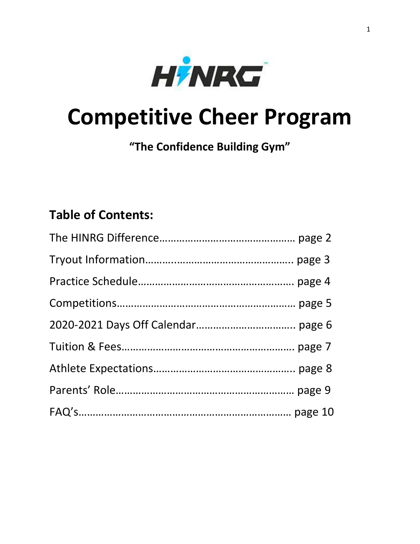

# **Competitive Cheer Program**

**"The Confidence Building Gym"**

# **Table of Contents:**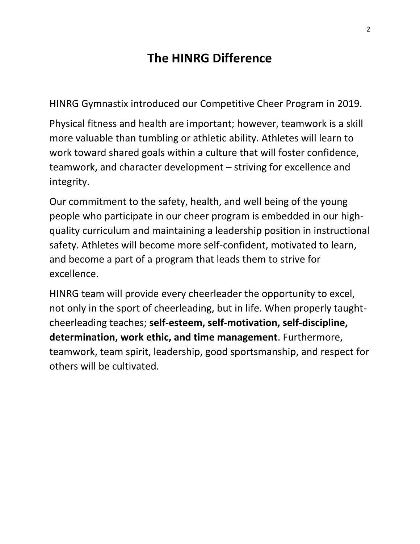# **The HINRG Difference**

HINRG Gymnastix introduced our Competitive Cheer Program in 2019.

Physical fitness and health are important; however, teamwork is a skill more valuable than tumbling or athletic ability. Athletes will learn to work toward shared goals within a culture that will foster confidence, teamwork, and character development – striving for excellence and integrity.

Our commitment to the safety, health, and well being of the young people who participate in our cheer program is embedded in our highquality curriculum and maintaining a leadership position in instructional safety. Athletes will become more self-confident, motivated to learn, and become a part of a program that leads them to strive for excellence.

HINRG team will provide every cheerleader the opportunity to excel, not only in the sport of cheerleading, but in life. When properly taughtcheerleading teaches; **self-esteem, self-motivation, self-discipline, determination, work ethic, and time management**. Furthermore, teamwork, team spirit, leadership, good sportsmanship, and respect for others will be cultivated.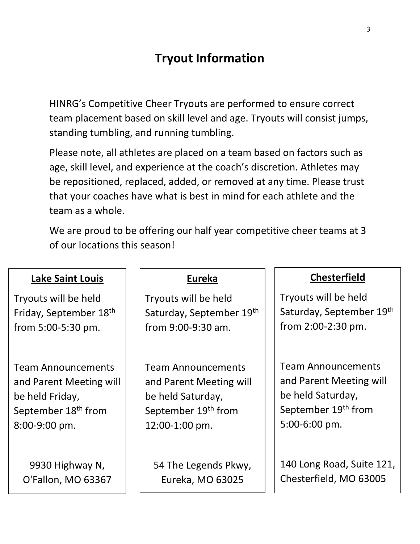# **Tryout Information**

HINRG's Competitive Cheer Tryouts are performed to ensure correct team placement based on skill level and age. Tryouts will consist jumps, standing tumbling, and running tumbling.

Please note, all athletes are placed on a team based on factors such as age, skill level, and experience at the coach's discretion. Athletes may be repositioned, replaced, added, or removed at any time. Please trust that your coaches have what is best in mind for each athlete and the team as a whole.

We are proud to be offering our half year competitive cheer teams at 3 of our locations this season!

| <b>Lake Saint Louis</b>         | <b>Eureka</b>                   | <b>Chesterfield</b>             |
|---------------------------------|---------------------------------|---------------------------------|
| Tryouts will be held            | Tryouts will be held            | Tryouts will be held            |
| Friday, September 18th          | Saturday, September 19th        | Saturday, September 19th        |
| from 5:00-5:30 pm.              | from 9:00-9:30 am.              | from $2:00-2:30$ pm.            |
|                                 |                                 |                                 |
| <b>Team Announcements</b>       | <b>Team Announcements</b>       | <b>Team Announcements</b>       |
| and Parent Meeting will         | and Parent Meeting will         | and Parent Meeting will         |
| be held Friday,                 | be held Saturday,               | be held Saturday,               |
| September 18 <sup>th</sup> from | September 19 <sup>th</sup> from | September 19 <sup>th</sup> from |
| $8:00-9:00$ pm.                 | 12:00-1:00 pm.                  | $5:00-6:00$ pm.                 |
|                                 |                                 |                                 |
| 9930 Highway N,                 | 54 The Legends Pkwy,            | 140 Long Road, Suite 121,       |
| O'Fallon, MO 63367              | Eureka, MO 63025                | Chesterfield, MO 63005          |
|                                 |                                 |                                 |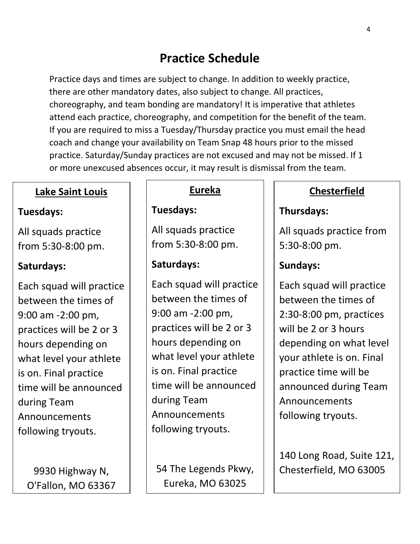# **Practice Schedule**

Practice days and times are subject to change. In addition to weekly practice, there are other mandatory dates, also subject to change. All practices, choreography, and team bonding are mandatory! It is imperative that athletes attend each practice, choreography, and competition for the benefit of the team. If you are required to miss a Tuesday/Thursday practice you must email the head coach and change your availability on Team Snap 48 hours prior to the missed practice. Saturday/Sunday practices are not excused and may not be missed. If 1 or more unexcused absences occur, it may result is dismissal from the team.

### **Lake Saint Louis**

### **Tuesdays:**

All squads practice from 5:30-8:00 pm.

### **Saturdays:**

Each squad will practice between the times of 9:00 am -2:00 pm, practices will be 2 or 3 hours depending on what level your athlete is on. Final practice time will be announced during Team Announcements following tryouts.

9930 Highway N, O'Fallon, MO 63367

# **Eureka**

**Tuesdays:**

All squads practice from 5:30-8:00 pm.

## **Saturdays:**

Each squad will practice between the times of 9:00 am -2:00 pm, practices will be 2 or 3 hours depending on what level your athlete is on. Final practice time will be announced during Team Announcements following tryouts.

54 The Legends Pkwy, Eureka, MO 63025

# **Chesterfield**

### **Thursdays:**

All squads practice from 5:30-8:00 pm.

### **Sundays:**

Each squad will practice between the times of 2:30-8:00 pm, practices will be 2 or 3 hours depending on what level your athlete is on. Final practice time will be announced during Team Announcements following tryouts.

140 Long Road, Suite 121, Chesterfield, MO 63005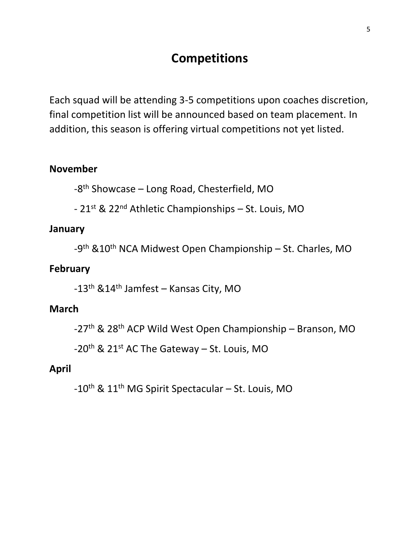# **Competitions**

Each squad will be attending 3-5 competitions upon coaches discretion, final competition list will be announced based on team placement. In addition, this season is offering virtual competitions not yet listed.

#### **November**

 $-8$ <sup>th</sup> Showcase – Long Road, Chesterfield, MO

- 21st & 22nd Athletic Championships – St. Louis, MO

#### **January**

-9<sup>th</sup> &10<sup>th</sup> NCA Midwest Open Championship – St. Charles, MO

#### **February**

-13th &14th Jamfest – Kansas City, MO

#### **March**

-27th & 28th ACP Wild West Open Championship – Branson, MO

 $-20$ <sup>th</sup> & 21<sup>st</sup> AC The Gateway – St. Louis, MO

#### **April**

-10th & 11th MG Spirit Spectacular – St. Louis, MO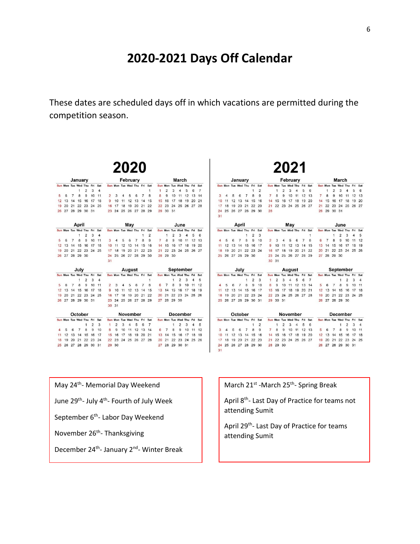## **2020-2021 Days Off Calendar**

These dates are scheduled days off in which vacations are permitted during the competition season.

|           |    |                |                             |                |                |                |                |                |                | 2020                        |                |                |                |                |                |                |                |                             |                |                |                 |                |         |                     |                             |                |                             |                |              |                |                | 2021                        |                |                             |                |                |                      |                             |                |          |                |  |  |  |
|-----------|----|----------------|-----------------------------|----------------|----------------|----------------|----------------|----------------|----------------|-----------------------------|----------------|----------------|----------------|----------------|----------------|----------------|----------------|-----------------------------|----------------|----------------|-----------------|----------------|---------|---------------------|-----------------------------|----------------|-----------------------------|----------------|--------------|----------------|----------------|-----------------------------|----------------|-----------------------------|----------------|----------------|----------------------|-----------------------------|----------------|----------|----------------|--|--|--|
|           |    |                | January                     |                |                |                |                | February       |                |                             |                |                |                |                |                | March          |                |                             |                |                |                 |                | January |                     |                             |                |                             |                | February     |                |                |                             |                |                             |                |                | March                |                             |                |          |                |  |  |  |
|           |    |                | Sun Mon Tue Wed Thu Fri Sat |                |                |                |                |                |                | Sun Mon Tue Wed Thu Fri Sat |                |                |                |                |                |                |                | Sun Mon Tue Wed Thu Fri     |                | Sat            |                 |                |         |                     | Sun Mon Tue Wed Thu Fri Sat |                |                             |                |              |                |                | Sun Mon Tue Wed Thu Fri Sat |                |                             |                |                |                      | Sun Mon Tue Wed Thu         |                |          | Fri Sat        |  |  |  |
|           |    |                | $\mathbf{1}$                | 2              | 3              | $\overline{4}$ |                |                |                |                             |                |                | $\mathbf{1}$   | $\mathbf{1}$   | $\overline{2}$ | 3              | $\overline{4}$ | 5                           | 6              | $\overline{7}$ |                 |                |         |                     |                             | $\mathbf{1}$   | $\overline{2}$              |                | $\mathbf{1}$ | $\overline{2}$ | 3              | 4                           | 5              | 6                           |                | $\mathbf{1}$   | $\overline{2}$       | 3                           | $\overline{4}$ | 5        | 6              |  |  |  |
|           | 6  | $\overline{7}$ | 8                           | 9              | 10 11          |                | $\overline{2}$ | 3              | $\overline{4}$ | 5                           | 6              | $\overline{7}$ | 8              | 8              | 9              | 10             |                | 11 12 13 14                 |                |                |                 |                |         | 5                   | $\overline{7}$<br>6         | 8              | 9                           | $\overline{7}$ | 8            | 9              |                | 10 11 12 13                 |                |                             | $\overline{7}$ | 8              | 9                    | 10                          |                | 11 12 13 |                |  |  |  |
| 12 13     |    | 14             |                             | 15 16 17 18    |                |                |                | 9 10           | 11             |                             | 12 13 14 15    |                |                |                | 15 16          |                | 17 18          | 19                          | 20 21          |                |                 |                | 11      | 12 13               | 14                          | 15             | 16                          |                | 14 15        | 16             |                | 17 18                       |                | 19 20                       | 14             | 15             | 16                   | 17 18                       |                |          | 19 20          |  |  |  |
| 19 20     |    | 21             |                             | 22 23 24 25    |                |                |                |                | 16 17 18       |                             | 19 20 21 22    |                |                |                | 22 23          |                |                | 24 25 26 27 28              |                |                | 17              |                | 18      |                     | 19 20 21                    |                | 22 23                       |                |              |                |                | 21 22 23 24 25 26 27        |                |                             |                | 21 22          |                      | 23 24 25 26 27              |                |          |                |  |  |  |
|           |    |                | 26 27 28 29 30 31           |                |                |                |                |                |                | 23 24 25 26 27 28 29        |                |                |                | 29 30 31       |                |                |                |                             |                |                | 24              |                |         |                     |                             |                | 25 26 27 28 29 30           | 28             |              |                |                |                             |                |                             |                | 28 29 30 31    |                      |                             |                |          |                |  |  |  |
|           |    |                |                             |                |                |                |                |                |                |                             |                |                |                |                |                |                |                |                             |                |                | 31              |                |         |                     |                             |                |                             |                |              |                |                |                             |                |                             |                |                |                      |                             |                |          |                |  |  |  |
|           |    |                | April                       |                |                |                |                |                |                | Mav                         |                |                |                |                |                |                | June           |                             |                |                |                 |                |         | April               |                             |                |                             |                |              |                | May            |                             |                |                             |                |                |                      | June                        |                |          |                |  |  |  |
|           |    |                | Sun Mon Tue Wed Thu Fri Sat |                |                |                |                |                |                | Sun Mon Tue Wed Thu Fri Sat |                |                |                |                |                |                |                | Sun Mon Tue Wed Thu Fri Sat |                |                |                 |                |         |                     |                             |                | Sun Mon Tue Wed Thu Fri Sat |                |              |                |                |                             |                | Sun Mon Tue Wed Thu Fri Sat |                |                |                      | Sun Mon Tue Wed Thu         |                |          | Fri Sat        |  |  |  |
|           |    |                | 1                           | $\overline{2}$ | 3              | $\overline{4}$ |                |                |                |                             |                | 1              | $\overline{2}$ |                |                | $\overline{2}$ | 3              | 4                           | 5              | 6              |                 |                |         |                     | $\mathbf{1}$                | $\overline{2}$ | 3                           |                |              |                |                |                             |                | 1                           |                |                | $\ddot{\phantom{1}}$ | $\overline{2}$              | 3              | 4        | 5              |  |  |  |
|           | 6  | $\overline{7}$ | 8                           | 9              | 10 11          |                | 3              | $\overline{4}$ | 5              | 6                           | $\overline{7}$ | 8              | 9              | $\overline{7}$ | 8              | 9              | 10             | 11                          | 12 13          |                |                 |                | 5<br>6  | $\overline{7}$      | 8                           | 9              | 10                          | $\overline{2}$ | 3            | 4              | 5              | 6                           | $\overline{7}$ | 8                           | 6              | $\overline{7}$ | 8                    | 9                           | 10             |          | 11 12          |  |  |  |
|           |    |                | 12 13 14 15 16 17 18        |                |                |                |                |                |                | 10 11 12 13 14 15           |                |                | 16             |                |                | 14 15 16       |                | 17 18                       | 19 20          |                | 11              |                |         |                     | 12 13 14 15                 |                | 16 17                       | 9              | 10           |                |                | 11 12 13 14 15              |                |                             |                |                |                      | 13 14 15 16 17              |                | 18 19    |                |  |  |  |
| 19 20     |    | 21             |                             | 22 23 24 25    |                |                |                | 17, 18         |                | 19 20 21 22 23              |                |                |                |                |                |                |                | 21 22 23 24 25 26 27        |                |                |                 |                |         |                     | 19 20 21 22 23 24           |                |                             |                | 16 17 18     |                |                | 19 20 21 22                 |                |                             |                |                |                      | 20 21 22 23 24 25 26        |                |          |                |  |  |  |
|           |    |                | 26 27 28 29 30              |                |                |                |                |                |                | 24 25 26 27 28 29 30        |                |                |                |                | 28 29 30       |                |                |                             |                |                |                 |                |         |                     | 25 26 27 28 29 30           |                |                             |                |              |                |                | 23 24 25 26 27 28 29        |                |                             |                | 27 28 29 30    |                      |                             |                |          |                |  |  |  |
|           |    |                |                             |                |                |                | 31             |                |                |                             |                |                |                |                |                |                |                |                             |                |                |                 |                |         |                     |                             |                |                             |                | 30 31        |                |                |                             |                |                             |                |                |                      |                             |                |          |                |  |  |  |
|           |    |                | July                        |                |                |                |                |                |                | August                      |                |                |                |                |                |                |                | September                   |                |                |                 |                |         | July                |                             |                |                             |                |              |                |                | August                      |                |                             |                |                |                      | September                   |                |          |                |  |  |  |
|           |    |                | Sun Mon Tue Wed Thu Fri Sat |                |                |                |                |                |                | Sun Mon Tue Wed Thu Fri Sat |                |                |                |                |                |                |                | Sun Mon Tue Wed Thu Fri Sat |                |                |                 |                |         |                     |                             |                | Sun Mon Tue Wed Thu Fri Sat |                |              |                |                | Sun Mon Tue Wed Thu Fri Sat |                |                             |                |                |                      | Sun Mon Tue Wed Thu Fri Sat |                |          |                |  |  |  |
|           |    |                | $\mathbf{1}$                | $\overline{2}$ | 3              | $\overline{4}$ |                |                |                |                             |                |                | $\mathbf{1}$   |                |                | 1              | $\overline{2}$ | 3                           | $\overline{4}$ | 5              |                 |                |         |                     | 1                           | $\overline{2}$ | 3                           |                | 2            | 3              | $\overline{4}$ | 5                           | 6              | $7^{\circ}$                 |                |                |                      | $\mathbf{1}$                | $\overline{2}$ | 3        | $\overline{4}$ |  |  |  |
|           | 6  | $\overline{7}$ | 8                           | 9              | 10 11          |                |                |                |                | 5                           | 6              | $\overline{7}$ | 8              |                | $\overline{7}$ | 8              | 9              | 10                          | 11 12          |                |                 | 5              |         | 6<br>$\overline{7}$ | 8                           | 9              | 10                          | 8              | 9            | 10             |                | 11 12 13 14                 |                |                             | 5              | 6              | $7^{\circ}$          | 8                           | 9              |          | 10 11          |  |  |  |
| $12 \t13$ |    |                | 14 15 16 17 18              |                |                |                |                | $9 - 10$       | 11             |                             | 12 13 14 15    |                |                |                | 13 14          |                | 15 16          | 17 18 19                    |                |                | 11              |                |         |                     | 12 13 14 15 16 17           |                |                             |                | 15 16        |                |                | 17 18 19 20 21              |                |                             |                |                |                      | 12 13 14 15 16              |                |          | 17 18          |  |  |  |
| 19 20     |    | 21             |                             | 22 23 24 25    |                |                |                | 16 17          | 18             |                             | 19 20 21 22    |                |                |                | 20 21          |                |                | 22 23 24 25 26              |                |                |                 |                |         |                     | 19 20 21 22                 |                | 23 24                       |                | 22 23        |                |                | 24 25 26 27 28              |                |                             |                | 19 20          |                      | 21 22 23 24 25              |                |          |                |  |  |  |
|           |    |                | 26 27 28 29 30 31           |                |                |                |                |                |                | 23 24 25 26 27 28 29        |                |                |                |                |                | 27 28 29 30    |                |                             |                |                |                 |                |         |                     | 25 26 27 28 29 30 31        |                |                             |                | 29 30 31     |                |                |                             |                |                             |                |                |                      | 26 27 28 29 30              |                |          |                |  |  |  |
|           |    |                |                             |                |                |                |                | 30 31          |                |                             |                |                |                |                |                |                |                |                             |                |                |                 |                |         |                     |                             |                |                             |                |              |                |                |                             |                |                             |                |                |                      |                             |                |          |                |  |  |  |
|           |    |                | October                     |                |                |                |                |                |                | November                    |                |                |                |                |                |                |                | <b>December</b>             |                |                | October         |                |         |                     |                             |                |                             | November       |              |                |                |                             |                |                             | December       |                |                      |                             |                |          |                |  |  |  |
|           |    |                | Sun Mon Tue Wed Thu Fri Sat |                |                |                |                |                |                | Sun Mon Tue Wed Thu Fri Sat |                |                |                |                |                |                |                | Sun Mon Tue Wed Thu Fri Sat |                |                |                 |                |         |                     | Sun Mon Tue Wed Thu Fri Sat |                |                             |                |              |                |                | Sun Mon Tue Wed Thu Fri Sat |                |                             |                |                |                      | Sun Mon Tue Wed Thu Fri Sat |                |          |                |  |  |  |
|           |    |                |                             | $\mathbf{1}$   | $\overline{2}$ | $\mathbf{3}$   | $\mathbf{1}$   | $\overline{2}$ | 3              | $\overline{4}$              | 5              | 6              | $\overline{7}$ |                |                | $\mathbf{1}$   | $\overline{2}$ | 3                           | $\overline{4}$ | 5              |                 |                |         |                     |                             | $\overline{1}$ | $\overline{2}$              |                | $\mathbf{1}$ | $\overline{2}$ | 3              | $\overline{4}$              | 5              | 6                           |                |                |                      | $\mathbf{1}$                | $\overline{2}$ | 3        | $\overline{4}$ |  |  |  |
|           | -5 | 6              | $\overline{7}$              | 8              | 9              | 10             | 8              | 9              |                | 10 11 12 13 14              |                |                |                | 6              | $\overline{7}$ | 8              | $\mathbf{9}$   |                             | 10 11 12       |                | 3               | $\overline{4}$ | 5       | 6                   | $\overline{7}$              | 8              | 9                           | $\overline{7}$ | 8            | 9              |                | 10 11 12 13                 |                |                             | 5              | 6              | $\overline{7}$       | 8                           | 9              |          | 10 11          |  |  |  |
|           |    |                | 11 12 13 14 15 16 17        |                |                |                |                |                |                | 15 16 17 18 19 20 21        |                |                |                |                |                |                | 13 14 15 16    |                             | 17 18 19       |                | 10 <sup>1</sup> |                |         |                     | 11 12 13 14 15 16           |                |                             |                | 14 15        | 16             |                | 17 18 19 20                 |                |                             |                | 12 13 14 15    |                      |                             | 16             |          | 17 18          |  |  |  |
| 18 19     |    |                | 20 21 22 23 24              |                |                |                |                |                |                | 22 23 24 25 26 27 28        |                |                |                |                |                |                |                | 20 21 22 23 24 25 26        |                |                | 17              |                |         |                     | 18 19 20 21 22 23           |                |                             |                |              |                |                | 21 22 23 24 25 26 27        |                |                             |                |                |                      | 19 20 21 22 23 24 25        |                |          |                |  |  |  |
|           |    |                | 25 26 27 28 29 30 31        |                |                |                |                | 29 30          |                |                             |                |                |                |                |                |                | 27 28 29 30 31 |                             |                |                | 24              |                |         |                     | 25 26 27 28 29 30           |                |                             |                | 28 29 30     |                |                |                             |                |                             |                |                |                      | 26 27 28 29 30 31           |                |          |                |  |  |  |
|           |    |                |                             |                |                |                |                |                |                |                             |                |                |                |                |                |                |                |                             |                |                | 31              |                |         |                     |                             |                |                             |                |              |                |                |                             |                |                             |                |                |                      |                             |                |          |                |  |  |  |

May 24<sup>th</sup>- Memorial Day Weekend

June 29<sup>th</sup>- July 4<sup>th</sup>- Fourth of July Week

September 6<sup>th</sup>- Labor Day Weekend

November 26<sup>th</sup>- Thanksgiving

December 24<sup>th</sup>- January 2<sup>nd</sup>- Winter Break

March 21<sup>st</sup> -March 25<sup>th</sup>- Spring Break

April 8<sup>th</sup>- Last Day of Practice for teams not attending Sumit

April 29th- Last Day of Practice for teams attending Sumit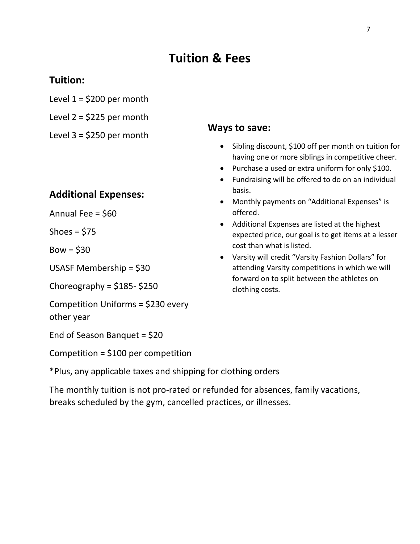# **Tuition & Fees**

#### **Tuition:**

- Level  $1 = $200$  per month
- Level  $2 = $225$  per month
- Level  $3 = $250$  per month

#### **Additional Expenses:**

Annual Fee = \$60

Shoes =  $$75$ 

 $Bow = $30$ 

USASF Membership = \$30

Choreography =  $$185-$250$ 

Competition Uniforms = \$230 every other year

End of Season Banquet = \$20

Competition = \$100 per competition

\*Plus, any applicable taxes and shipping for clothing orders

The monthly tuition is not pro-rated or refunded for absences, family vacations, breaks scheduled by the gym, cancelled practices, or illnesses.

#### **Ways to save:**

- Sibling discount, \$100 off per month on tuition for having one or more siblings in competitive cheer.
- Purchase a used or extra uniform for only \$100.
- Fundraising will be offered to do on an individual basis.
- Monthly payments on "Additional Expenses" is offered.
- Additional Expenses are listed at the highest expected price, our goal is to get items at a lesser cost than what is listed.
- Varsity will credit "Varsity Fashion Dollars" for attending Varsity competitions in which we will forward on to split between the athletes on clothing costs.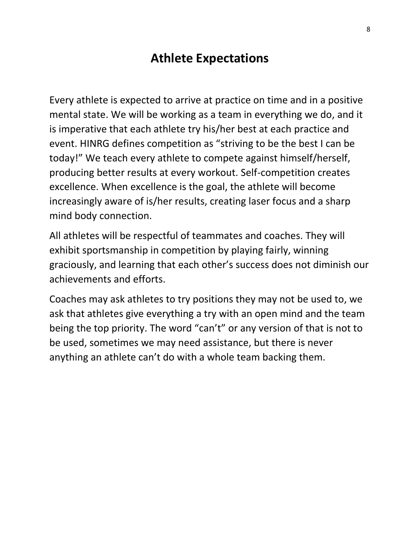# **Athlete Expectations**

Every athlete is expected to arrive at practice on time and in a positive mental state. We will be working as a team in everything we do, and it is imperative that each athlete try his/her best at each practice and event. HINRG defines competition as "striving to be the best I can be today!" We teach every athlete to compete against himself/herself, producing better results at every workout. Self-competition creates excellence. When excellence is the goal, the athlete will become increasingly aware of is/her results, creating laser focus and a sharp mind body connection.

All athletes will be respectful of teammates and coaches. They will exhibit sportsmanship in competition by playing fairly, winning graciously, and learning that each other's success does not diminish our achievements and efforts.

Coaches may ask athletes to try positions they may not be used to, we ask that athletes give everything a try with an open mind and the team being the top priority. The word "can't" or any version of that is not to be used, sometimes we may need assistance, but there is never anything an athlete can't do with a whole team backing them.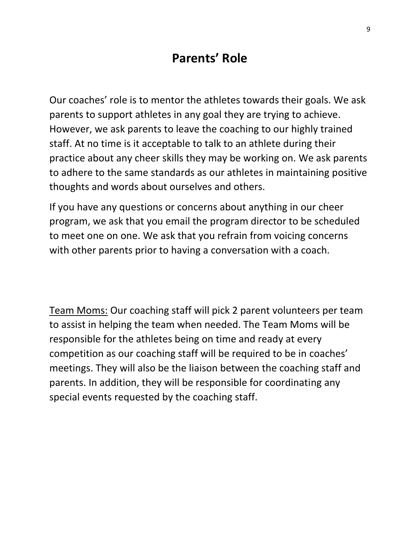# **Parents' Role**

Our coaches' role is to mentor the athletes towards their goals. We ask parents to support athletes in any goal they are trying to achieve. However, we ask parents to leave the coaching to our highly trained staff. At no time is it acceptable to talk to an athlete during their practice about any cheer skills they may be working on. We ask parents to adhere to the same standards as our athletes in maintaining positive thoughts and words about ourselves and others.

If you have any questions or concerns about anything in our cheer program, we ask that you email the program director to be scheduled to meet one on one. We ask that you refrain from voicing concerns with other parents prior to having a conversation with a coach.

Team Moms: Our coaching staff will pick 2 parent volunteers per team to assist in helping the team when needed. The Team Moms will be responsible for the athletes being on time and ready at every competition as our coaching staff will be required to be in coaches' meetings. They will also be the liaison between the coaching staff and parents. In addition, they will be responsible for coordinating any special events requested by the coaching staff.